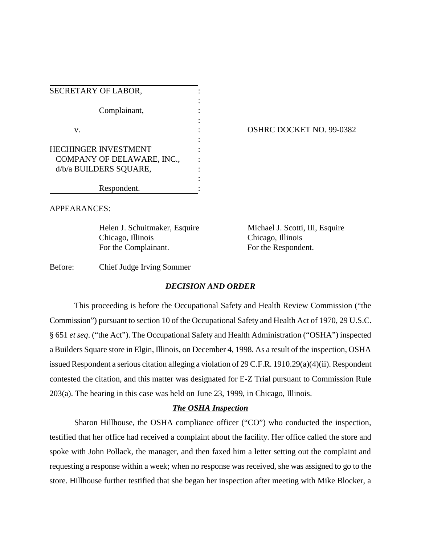| SECRETARY OF LABOR,                                  |  |
|------------------------------------------------------|--|
| Complainant,                                         |  |
| v.                                                   |  |
| <b>HECHINGER INVESTMENT</b>                          |  |
| COMPANY OF DELAWARE, INC.,<br>d/b/a BUILDERS SQUARE, |  |
| Respondent.                                          |  |

#### OSHRC DOCKET NO. 99-0382

APPEARANCES:

Helen J. Schuitmaker, Esquire Michael J. Scotti, III, Esquire Chicago, Illinois Chicago, Illinois For the Complainant. For the Respondent.

Before: Chief Judge Irving Sommer

### *DECISION AND ORDER*

This proceeding is before the Occupational Safety and Health Review Commission ("the Commission") pursuant to section 10 of the Occupational Safety and Health Act of 1970, 29 U.S.C. § 651 *et seq*. ("the Act"). The Occupational Safety and Health Administration ("OSHA") inspected a Builders Square store in Elgin, Illinois, on December 4, 1998. As a result of the inspection, OSHA issued Respondent a serious citation alleging a violation of 29 C.F.R. 1910.29(a)(4)(ii). Respondent contested the citation, and this matter was designated for E-Z Trial pursuant to Commission Rule 203(a). The hearing in this case was held on June 23, 1999, in Chicago, Illinois.

## *The OSHA Inspection*

Sharon Hillhouse, the OSHA compliance officer ("CO") who conducted the inspection, testified that her office had received a complaint about the facility. Her office called the store and spoke with John Pollack, the manager, and then faxed him a letter setting out the complaint and requesting a response within a week; when no response was received, she was assigned to go to the store. Hillhouse further testified that she began her inspection after meeting with Mike Blocker, a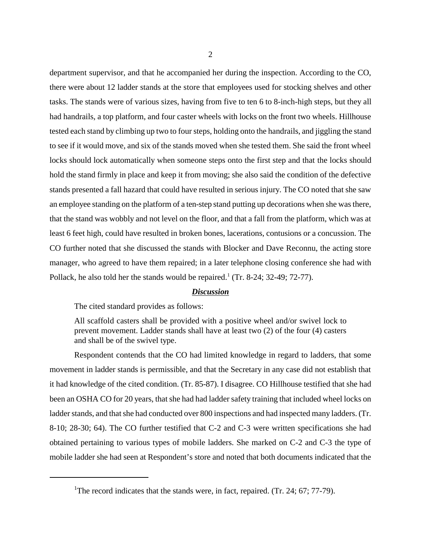department supervisor, and that he accompanied her during the inspection. According to the CO, there were about 12 ladder stands at the store that employees used for stocking shelves and other tasks. The stands were of various sizes, having from five to ten 6 to 8-inch-high steps, but they all had handrails, a top platform, and four caster wheels with locks on the front two wheels. Hillhouse tested each stand by climbing up two to four steps, holding onto the handrails, and jiggling the stand to see if it would move, and six of the stands moved when she tested them. She said the front wheel locks should lock automatically when someone steps onto the first step and that the locks should hold the stand firmly in place and keep it from moving; she also said the condition of the defective stands presented a fall hazard that could have resulted in serious injury. The CO noted that she saw an employee standing on the platform of a ten-step stand putting up decorations when she was there, that the stand was wobbly and not level on the floor, and that a fall from the platform, which was at least 6 feet high, could have resulted in broken bones, lacerations, contusions or a concussion. The CO further noted that she discussed the stands with Blocker and Dave Reconnu, the acting store manager, who agreed to have them repaired; in a later telephone closing conference she had with Pollack, he also told her the stands would be repaired.<sup>1</sup> (Tr. 8-24; 32-49; 72-77).

#### *Discussion*

The cited standard provides as follows:

All scaffold casters shall be provided with a positive wheel and/or swivel lock to prevent movement. Ladder stands shall have at least two (2) of the four (4) casters and shall be of the swivel type.

Respondent contends that the CO had limited knowledge in regard to ladders, that some movement in ladder stands is permissible, and that the Secretary in any case did not establish that it had knowledge of the cited condition. (Tr. 85-87). I disagree. CO Hillhouse testified that she had been an OSHA CO for 20 years, that she had had ladder safety training that included wheel locks on ladder stands, and that she had conducted over 800 inspections and had inspected many ladders. (Tr. 8-10; 28-30; 64). The CO further testified that C-2 and C-3 were written specifications she had obtained pertaining to various types of mobile ladders. She marked on C-2 and C-3 the type of mobile ladder she had seen at Respondent's store and noted that both documents indicated that the

<sup>&</sup>lt;sup>1</sup>The record indicates that the stands were, in fact, repaired. (Tr. 24; 67; 77-79).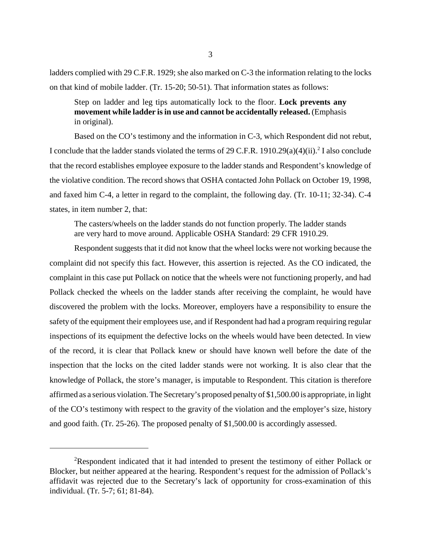ladders complied with 29 C.F.R. 1929; she also marked on C-3 the information relating to the locks on that kind of mobile ladder. (Tr. 15-20; 50-51). That information states as follows:

# Step on ladder and leg tips automatically lock to the floor. **Lock prevents any movement while ladder is in use and cannot be accidentally released.** (Emphasis in original).

Based on the CO's testimony and the information in C-3, which Respondent did not rebut, I conclude that the ladder stands violated the terms of 29 C.F.R.  $1910.29(a)(4)(ii)$ .<sup>2</sup> I also conclude that the record establishes employee exposure to the ladder stands and Respondent's knowledge of the violative condition. The record shows that OSHA contacted John Pollack on October 19, 1998, and faxed him C-4, a letter in regard to the complaint, the following day. (Tr. 10-11; 32-34). C-4 states, in item number 2, that:

The casters/wheels on the ladder stands do not function properly. The ladder stands are very hard to move around. Applicable OSHA Standard: 29 CFR 1910.29.

Respondent suggests that it did not know that the wheel locks were not working because the complaint did not specify this fact. However, this assertion is rejected. As the CO indicated, the complaint in this case put Pollack on notice that the wheels were not functioning properly, and had Pollack checked the wheels on the ladder stands after receiving the complaint, he would have discovered the problem with the locks. Moreover, employers have a responsibility to ensure the safety of the equipment their employees use, and if Respondent had had a program requiring regular inspections of its equipment the defective locks on the wheels would have been detected. In view of the record, it is clear that Pollack knew or should have known well before the date of the inspection that the locks on the cited ladder stands were not working. It is also clear that the knowledge of Pollack, the store's manager, is imputable to Respondent. This citation is therefore affirmed as a serious violation. The Secretary's proposed penalty of \$1,500.00 is appropriate, in light of the CO's testimony with respect to the gravity of the violation and the employer's size, history and good faith. (Tr. 25-26). The proposed penalty of \$1,500.00 is accordingly assessed.

<sup>&</sup>lt;sup>2</sup>Respondent indicated that it had intended to present the testimony of either Pollack or Blocker, but neither appeared at the hearing. Respondent's request for the admission of Pollack's affidavit was rejected due to the Secretary's lack of opportunity for cross-examination of this individual. (Tr. 5-7; 61; 81-84).